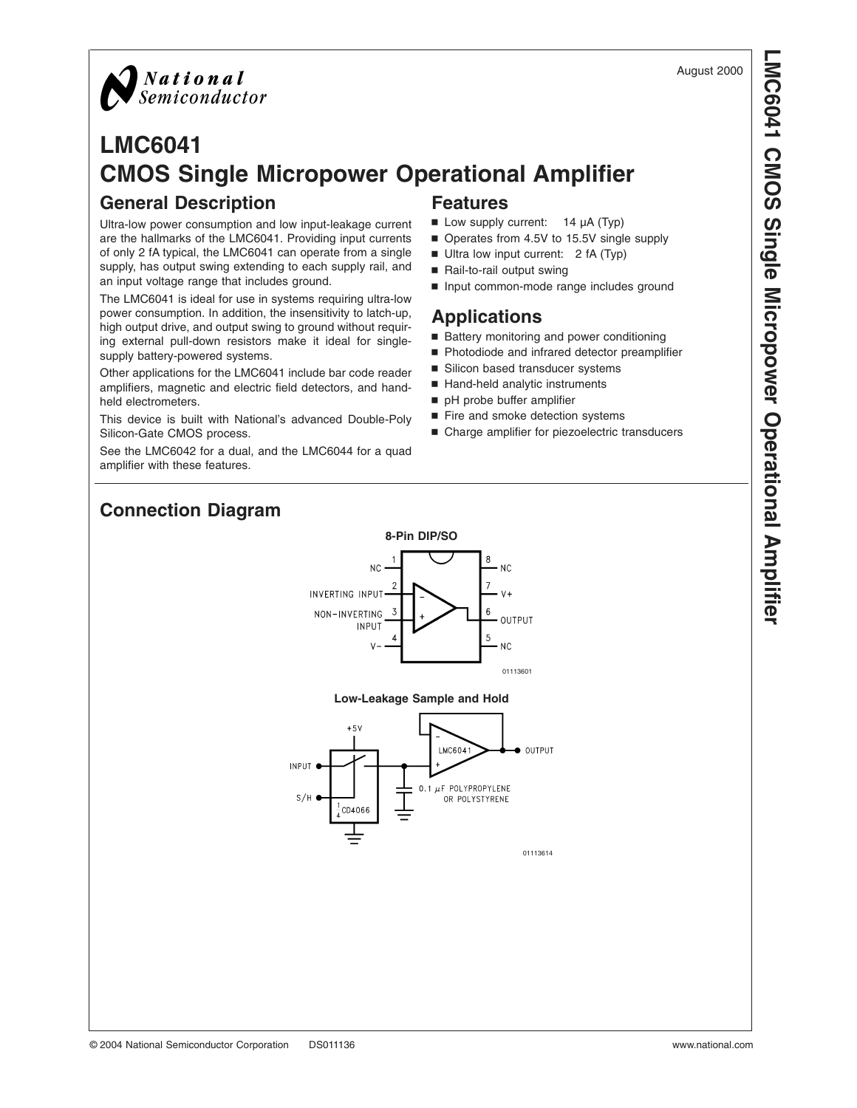

## **LMC6041 CMOS Single Micropower Operational Amplifier General Description Features**

Ultra-low power consumption and low input-leakage current are the hallmarks of the LMC6041. Providing input currents of only 2 fA typical, the LMC6041 can operate from a single supply, has output swing extending to each supply rail, and an input voltage range that includes ground.

The LMC6041 is ideal for use in systems requiring ultra-low power consumption. In addition, the insensitivity to latch-up, high output drive, and output swing to ground without requiring external pull-down resistors make it ideal for singlesupply battery-powered systems.

Other applications for the LMC6041 include bar code reader amplifiers, magnetic and electric field detectors, and handheld electrometers.

This device is built with National's advanced Double-Poly Silicon-Gate CMOS process.

See the LMC6042 for a dual, and the LMC6044 for a quad amplifier with these features.

- $\blacksquare$  Low supply current: 14  $\mu$ A (Typ)
- Operates from 4.5V to 15.5V single supply
- Ultra low input current: 2 fA (Typ)
- Rail-to-rail output swing
- n Input common-mode range includes ground

## **Applications**

- Battery monitoring and power conditioning
- Photodiode and infrared detector preamplifier
- Silicon based transducer systems
- Hand-held analytic instruments
- pH probe buffer amplifier
- Fire and smoke detection systems
- Charge amplifier for piezoelectric transducers

# **Connection Diagram**



### **Low-Leakage Sample and Hold**

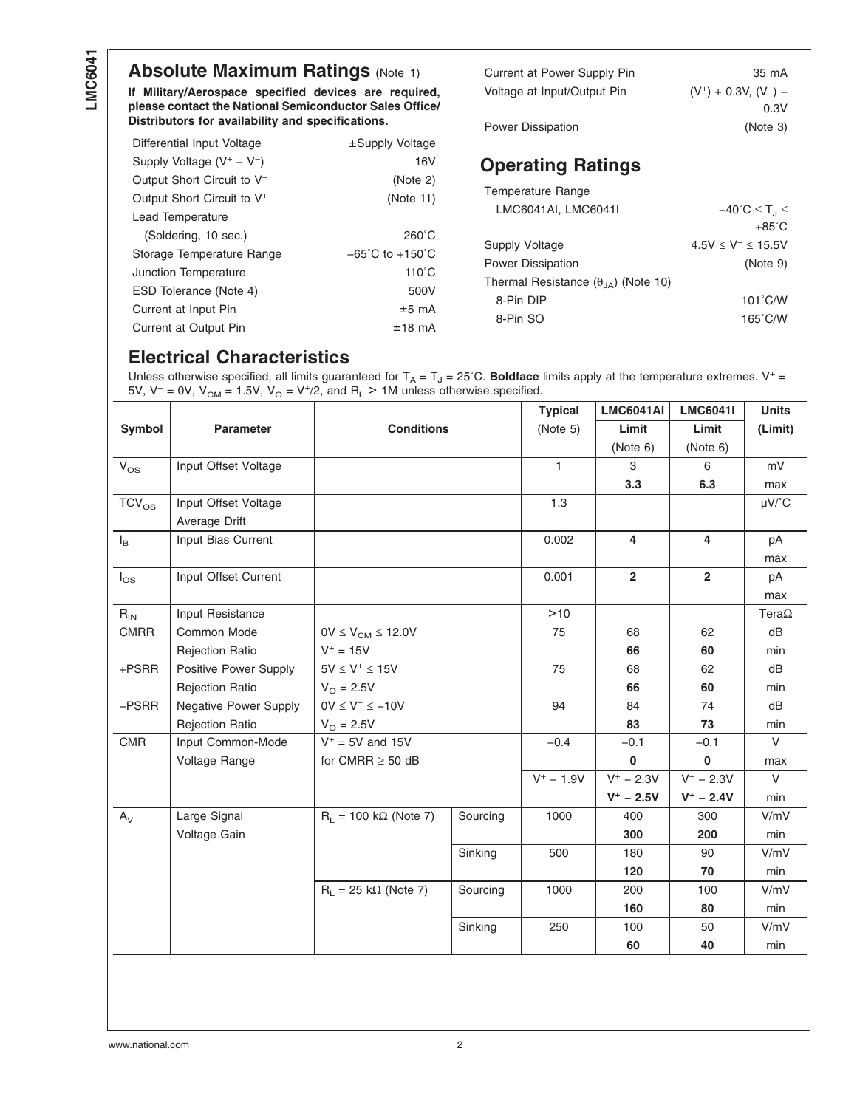# **Absolute Maximum Ratings [\(Note 1\)](#page-3-0)**

**If Military/Aerospace specified devices are required, please contact the National Semiconductor Sales Office/ Distributors for availability and specifications.**

| Differential Input Voltage             | ±Supply Voltage                     |
|----------------------------------------|-------------------------------------|
| Supply Voltage $(V^+ - V^-)$           | 16 <sub>V</sub>                     |
| Output Short Circuit to V <sup>-</sup> | (Note 2)                            |
| Output Short Circuit to V <sup>+</sup> | (Note 11)                           |
| Lead Temperature                       |                                     |
| (Soldering, 10 sec.)                   | $260^{\circ}$ C                     |
| Storage Temperature Range              | $-65^{\circ}$ C to $+150^{\circ}$ C |
| Junction Temperature                   | $110^{\circ}$ C                     |
| ESD Tolerance (Note 4)                 | 500V                                |
| Current at Input Pin                   | $±5$ mA                             |
| Current at Output Pin                  | $±18$ mA                            |

| Current at Power Supply Pin | 35 mA                   |
|-----------------------------|-------------------------|
| Voltage at Input/Output Pin | $(V^+) + 0.3V, (V^-) -$ |
|                             | 0.3V                    |
| <b>Power Dissipation</b>    | (Note 3)                |

# **Operating Ratings**

| Temperature Range                            |                                              |
|----------------------------------------------|----------------------------------------------|
| LMC6041AI, LMC6041I                          | $-40^{\circ}$ C $\leq$ T <sub>J</sub> $\leq$ |
|                                              | $+85^{\circ}$ C                              |
| Supply Voltage                               | $4.5V \leq V^+ \leq 15.5V$                   |
| <b>Power Dissipation</b>                     | (Note 9)                                     |
| Thermal Resistance $(\theta_{14})$ (Note 10) |                                              |
| 8-Pin DIP                                    | $101^{\circ}$ C/W                            |
| 8-Pin SO                                     | $165^{\circ}$ C/W                            |

# **Electrical Characteristics**

Unless otherwise specified, all limits guaranteed for  $T_A = T_J = 25$ °C. **Boldface** limits apply at the temperature extremes. V<sup>+</sup> = 5V, V<sup>-</sup> = 0V, V<sub>CM</sub> = 1.5V, V<sub>O</sub> = V<sup>+</sup>/2, and R<sub>L</sub> > 1M unless otherwise specified.

|                            |                              |                                      |          | <b>Typical</b> | <b>LMC6041AI</b> | <b>LMC6041I</b> | <b>Units</b>          |
|----------------------------|------------------------------|--------------------------------------|----------|----------------|------------------|-----------------|-----------------------|
| Symbol                     | <b>Parameter</b>             | <b>Conditions</b>                    |          | (Note 5)       | Limit            | Limit           | (Limit)               |
|                            |                              |                                      |          |                | (Note 6)         | (Note 6)        |                       |
| $V_{OS}$                   | Input Offset Voltage         |                                      |          | $\mathbf{1}$   | 3                | 6               | mV                    |
|                            |                              |                                      |          |                | 3.3              | 6.3             | max                   |
| $TCV_{OS}$                 | Input Offset Voltage         |                                      |          | 1.3            |                  |                 | $\mu$ V/ $^{\circ}$ C |
|                            | Average Drift                |                                      |          |                |                  |                 |                       |
| $I_{\mathsf{B}}$           | Input Bias Current           |                                      |          | 0.002          | 4                | 4               | pA                    |
|                            |                              |                                      |          |                |                  |                 | max                   |
| $I_{OS}$                   | Input Offset Current         |                                      |          | 0.001          | $\overline{2}$   | $\overline{2}$  | pA                    |
|                            |                              |                                      |          |                |                  |                 | max                   |
| $\mathsf{R}_{\mathsf{IN}}$ | Input Resistance             |                                      |          | >10            |                  |                 | Tera $\Omega$         |
| <b>CMRR</b>                | Common Mode                  | $0V \leq V_{CM} \leq 12.0V$          |          | 75             | 68               | 62              | dB                    |
|                            | <b>Rejection Ratio</b>       | $V^+ = 15V$                          |          |                | 66               | 60              | min                   |
| +PSRR                      | Positive Power Supply        | $5V \leq V^+ \leq 15V$               |          | 75             | 68               | 62              | dB                    |
|                            | <b>Rejection Ratio</b>       | $V_{\odot} = 2.5V$                   |          |                | 66               | 60              | min                   |
| $-$ PSRR                   | <b>Negative Power Supply</b> | $0V \le V^- \le -10V$                |          | 94             | 84               | 74              | dB                    |
|                            | <b>Rejection Ratio</b>       | $V_{\Omega} = 2.5V$                  |          |                | 83               | 73              | min                   |
| <b>CMR</b>                 | Input Common-Mode            | $V^+$ = 5V and 15V                   |          | $-0.4$         | $-0.1$           | $-0.1$          | $\vee$                |
|                            | Voltage Range                | for CMRR $\geq$ 50 dB                |          |                | 0                | 0               | max                   |
|                            |                              |                                      |          | $V^+ - 1.9V$   | $V^+ - 2.3V$     | $V^+ - 2.3V$    | $\vee$                |
|                            |                              |                                      |          |                | $V^+ - 2.5V$     | $V^+ - 2.4V$    | min                   |
| $A_V$                      | Large Signal                 | $R_L = 100 \text{ k}\Omega$ (Note 7) | Sourcing | 1000           | 400              | 300             | V/mV                  |
|                            | Voltage Gain                 |                                      |          |                | 300              | 200             | min                   |
|                            |                              |                                      | Sinking  | 500            | 180              | 90              | V/mV                  |
|                            |                              |                                      |          |                | 120              | 70              | min                   |
|                            |                              | $R_1 = 25 k\Omega$ (Note 7)          | Sourcing | 1000           | 200              | 100             | V/mV                  |
|                            |                              |                                      |          |                | 160              | 80              | min                   |
|                            |                              |                                      | Sinking  | 250            | 100              | 50              | V/mV                  |
|                            |                              |                                      |          |                | 60               | 40              | min                   |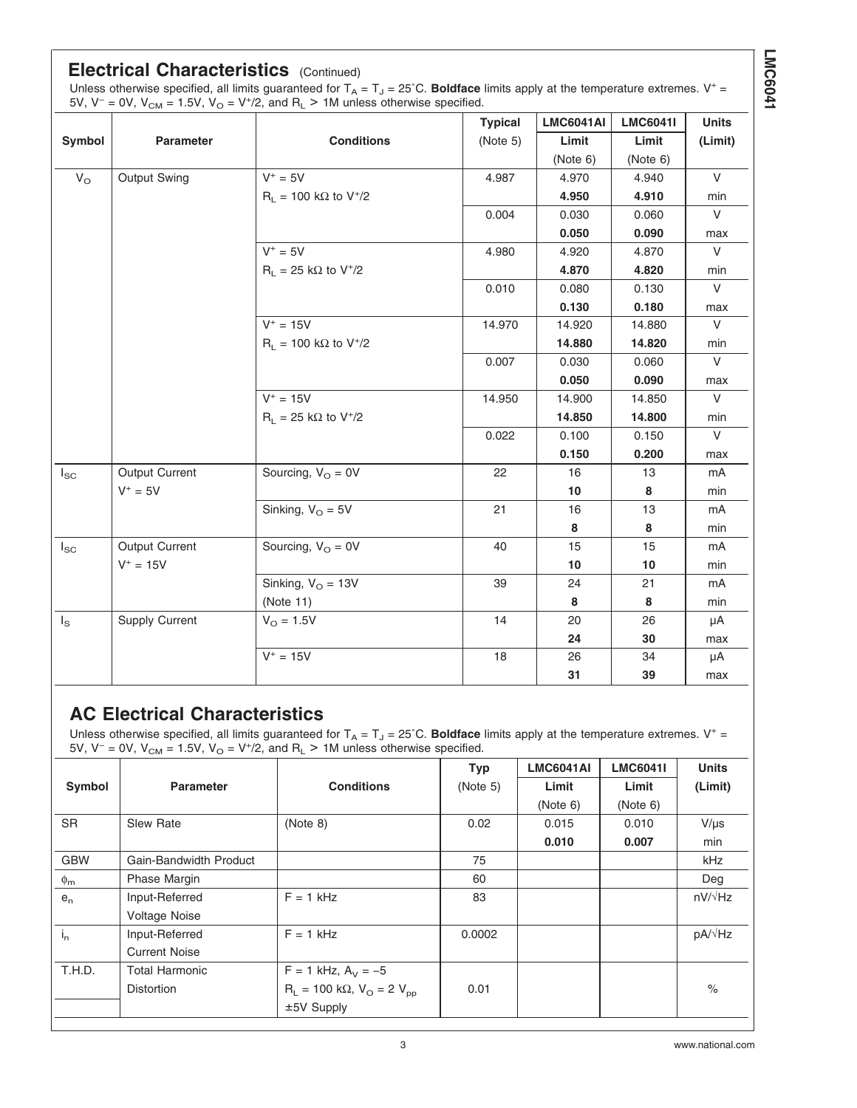## **Electrical Characteristics** (Continued)

Unless otherwise specified, all limits guaranteed for  $T_A = T_J = 25^{\circ}$ C. **Boldface** limits apply at the temperature extremes. V<sup>+</sup> = 5V, V<sup>-</sup> = 0V, V<sub>CM</sub> = 1.5V, V<sub>O</sub> = V<sup>+</sup>/2, and R<sub>L</sub> > 1M unless otherwise specified.

|              |                       |                                         | <b>Typical</b> | <b>LMC6041AI</b> | <b>LMC6041I</b> | <b>Units</b> |
|--------------|-----------------------|-----------------------------------------|----------------|------------------|-----------------|--------------|
| Symbol       | Parameter             | <b>Conditions</b>                       | (Note 5)       | Limit            | Limit           | (Limit)      |
|              |                       |                                         |                | (Note 6)         | (Note 6)        |              |
| $V_{\Omega}$ | Output Swing          | $V^+ = 5V$                              | 4.987          | 4.970            | 4.940           | $\vee$       |
|              |                       | $R_1 = 100$ kΩ to V <sup>+</sup> /2     |                | 4.950            | 4.910           | min          |
|              |                       |                                         | 0.004          | 0.030            | 0.060           | $\vee$       |
|              |                       |                                         |                | 0.050            | 0.090           | max          |
|              |                       | $V^+ = 5V$                              | 4.980          | 4.920            | 4.870           | $\vee$       |
|              |                       | $R_L = 25 k\Omega$ to V <sup>+</sup> /2 |                | 4.870            | 4.820           | min          |
|              |                       |                                         | 0.010          | 0.080            | 0.130           | $\vee$       |
|              |                       |                                         |                | 0.130            | 0.180           | max          |
|              |                       | $V^+ = 15V$                             | 14.970         | 14.920           | 14.880          | $\vee$       |
|              |                       | $R_L$ = 100 kΩ to V <sup>+</sup> /2     |                | 14.880           | 14.820          | min          |
|              |                       |                                         | 0.007          | 0.030            | 0.060           | $\vee$       |
|              |                       |                                         |                | 0.050            | 0.090           | max          |
|              |                       | $V^+ = 15V$                             | 14.950         | 14.900           | 14.850          | $\vee$       |
|              |                       | $R_L = 25 k\Omega$ to V <sup>+</sup> /2 |                | 14.850           | 14.800          | min          |
|              |                       |                                         | 0.022          | 0.100            | 0.150           | $\vee$       |
|              |                       |                                         |                | 0.150            | 0.200           | max          |
| $I_{SC}$     | Output Current        | Sourcing, $V_{\Omega} = 0V$             | 22             | 16               | 13              | mA           |
|              | $V^+ = 5V$            |                                         |                | 10               | 8               | min          |
|              |                       | Sinking, $V_{\Omega} = 5V$              | 21             | 16               | 13              | mA           |
|              |                       |                                         |                | 8                | 8               | min          |
| $I_{SC}$     | Output Current        | Sourcing, $V_{\Omega} = 0V$             | 40             | 15               | 15              | mA           |
|              | $V^+ = 15V$           |                                         |                | 10               | 10              | min          |
|              |                       | Sinking, $V_{\text{O}} = 13V$           | 39             | 24               | 21              | mA           |
|              |                       | (Note 11)                               |                | 8                | 8               | min          |
| $I_{\rm S}$  | <b>Supply Current</b> | $V_{\Omega} = 1.5V$                     | 14             | 20               | 26              | μA           |
|              |                       |                                         |                | 24               | 30              | max          |
|              |                       | $V^+ = 15V$                             | 18             | 26               | 34              | μA           |
|              |                       |                                         |                | 31               | 39              | max          |

## **AC Electrical Characteristics**

Unless otherwise specified, all limits guaranteed for  $T_A = T_J = 25^{\circ}$ C. **Boldface** limits apply at the temperature extremes. V<sup>+</sup> = 5V, V<sup>-</sup> = 0V, V<sub>CM</sub> = 1.5V, V<sub>O</sub> = V<sup>+</sup>/2, and R<sub>L</sub> > 1M unless otherwise specified.

|                |                        |                                                | <b>Typ</b> | <b>LMC6041AI</b> | <b>LMC6041I</b> | <b>Units</b>   |
|----------------|------------------------|------------------------------------------------|------------|------------------|-----------------|----------------|
| Symbol         | <b>Parameter</b>       | <b>Conditions</b>                              | (Note 5)   | Limit            | Limit           | (Limit)        |
|                |                        |                                                |            | (Note 6)         | (Note 6)        |                |
| <b>SR</b>      | <b>Slew Rate</b>       | (Note 8)                                       | 0.02       | 0.015            | 0.010           | $V/\mu s$      |
|                |                        |                                                |            | 0.010            | 0.007           | min            |
| <b>GBW</b>     | Gain-Bandwidth Product |                                                | 75         |                  |                 | kHz            |
| $\phi_{\rm m}$ | <b>Phase Margin</b>    |                                                | 60         |                  |                 | Deg            |
| $e_{n}$        | Input-Referred         | $F = 1$ kHz                                    | 83         |                  |                 | $nV/\sqrt{Hz}$ |
|                | <b>Voltage Noise</b>   |                                                |            |                  |                 |                |
| $i_{n}$        | Input-Referred         | $F = 1$ kHz                                    | 0.0002     |                  |                 | $pA/\sqrt{Hz}$ |
|                | <b>Current Noise</b>   |                                                |            |                  |                 |                |
| T.H.D.         | <b>Total Harmonic</b>  | $F = 1$ kHz, $A_V = -5$                        |            |                  |                 |                |
|                | <b>Distortion</b>      | $R_L = 100 \text{ k}\Omega$ , $V_O = 2 V_{pp}$ | 0.01       |                  |                 | $\%$           |
|                |                        | $±5V$ Supply                                   |            |                  |                 |                |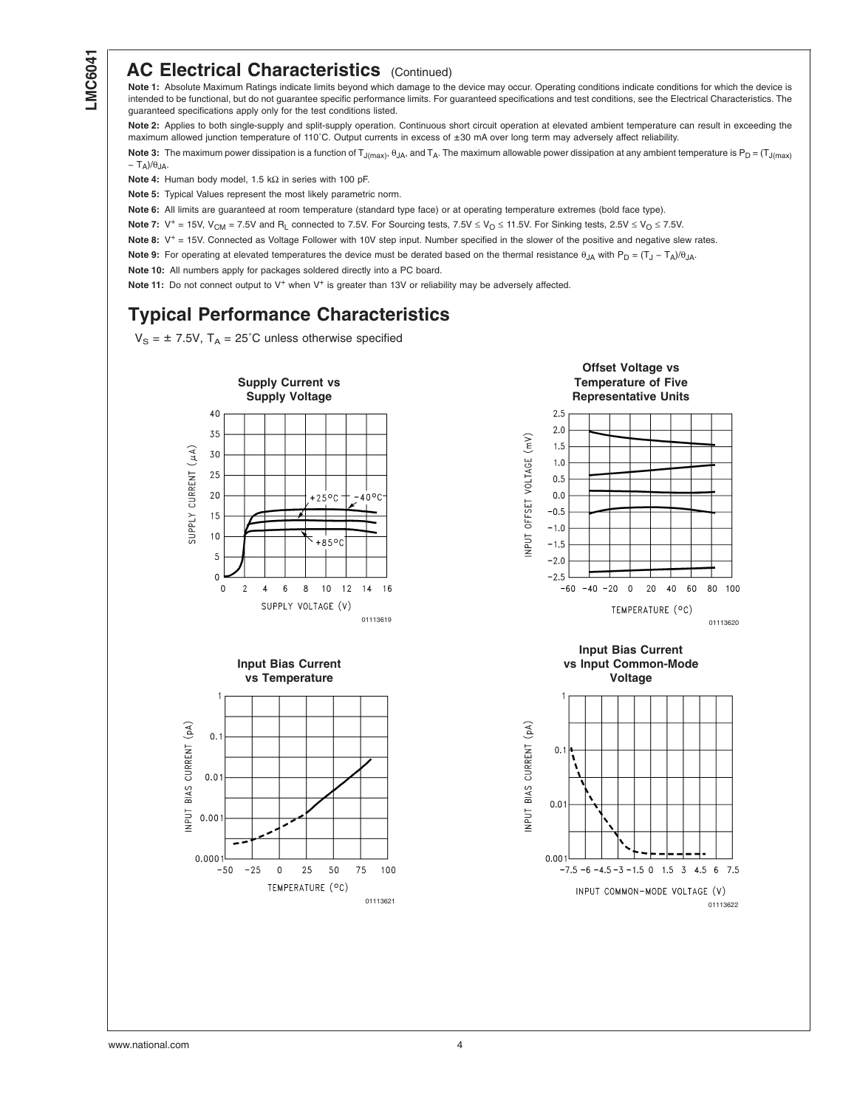# <span id="page-3-0"></span>**LMC6041**

## **AC Electrical Characteristics** (Continued)

**Note 1:** Absolute Maximum Ratings indicate limits beyond which damage to the device may occur. Operating conditions indicate conditions for which the device is intended to be functional, but do not guarantee specific performance limits. For guaranteed specifications and test conditions, see the Electrical Characteristics. The guaranteed specifications apply only for the test conditions listed.

**Note 2:** Applies to both single-supply and split-supply operation. Continuous short circuit operation at elevated ambient temperature can result in exceeding the maximum allowed junction temperature of 110˚C. Output currents in excess of ±30 mA over long term may adversely affect reliability.

Note 3: The maximum power dissipation is a function of T<sub>J(max)</sub>,  $\theta_{JA}$ , and T<sub>A</sub>. The maximum allowable power dissipation at any ambient temperature is P<sub>D</sub> = (T<sub>J(max)</sub>  $-$  T<sub>A</sub>)/ $\theta$ <sub>JA</sub>.

**Note 4:** Human body model, 1.5 kΩ in series with 100 pF.

**Note 5:** Typical Values represent the most likely parametric norm.

**Note 6:** All limits are guaranteed at room temperature (standard type face) or at operating temperature extremes (bold face type).

Note 7: V<sup>+</sup> = 15V, V<sub>CM</sub> = 7.5V and R<sub>L</sub> connected to 7.5V. For Sourcing tests, 7.5V ≤ V<sub>O</sub> ≤ 11.5V. For Sinking tests, 2.5V ≤ V<sub>O</sub> ≤ 7.5V.

Note 8: V<sup>+</sup> = 15V. Connected as Voltage Follower with 10V step input. Number specified in the slower of the positive and negative slew rates.

Note 9: For operating at elevated temperatures the device must be derated based on the thermal resistance θ<sub>JA</sub> with P<sub>D</sub> = (T<sub>J</sub> − T<sub>A</sub>)/θ<sub>JA</sub>.

**Note 10:** All numbers apply for packages soldered directly into a PC board.

Note 11: Do not connect output to V<sup>+</sup> when V<sup>+</sup> is greater than 13V or reliability may be adversely affected.

# **Typical Performance Characteristics**

 $V_S = \pm 7.5V$ ,  $T_A = 25^{\circ}$ C unless otherwise specified





25 50 75 100

TEMPERATURE (°C)

 $0.00$ 

 $0.000$ 

 $-50$  $-25$  $\mathbf 0$ 







www.national.com 4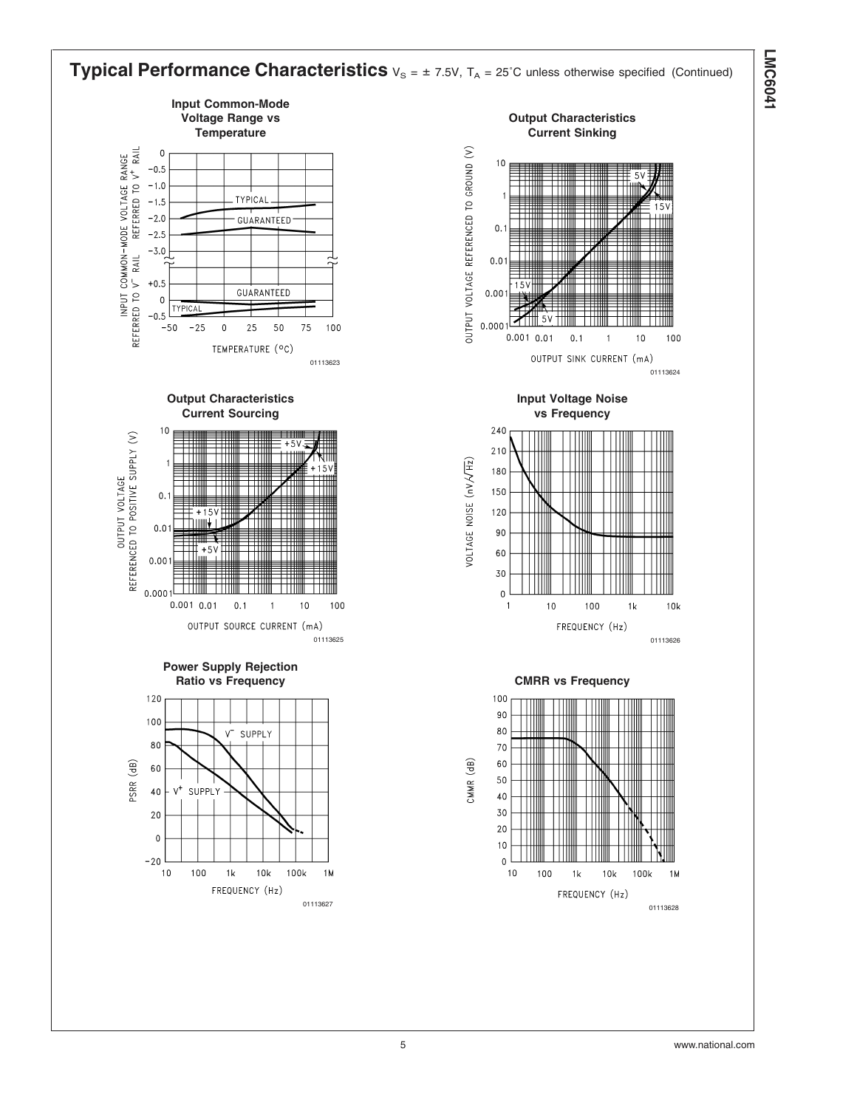

**LMC6041 LMC6041**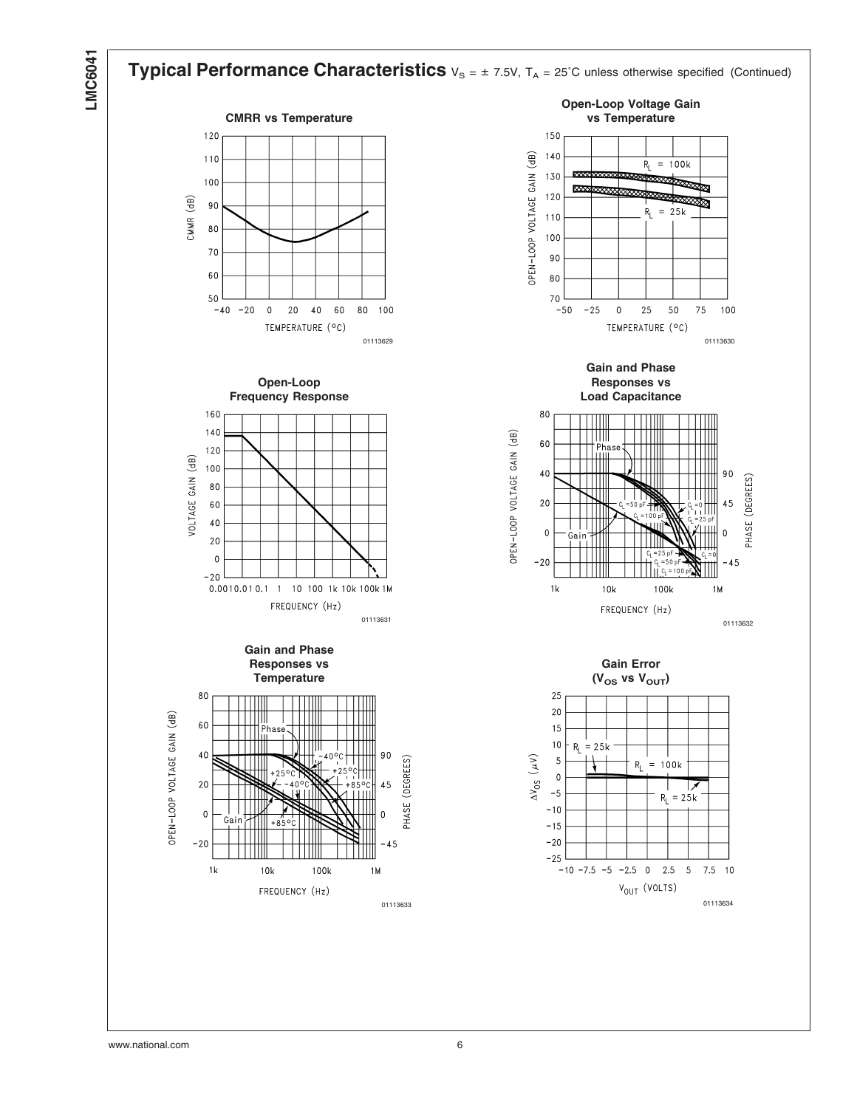# **LMC6041**

#### **Typical Performance Characteristics**  $v_s = \pm 7.5V$ ,  $T_A = 25^{\circ}$ C unless otherwise specified (Continued) **Open-Loop Voltage Gain CMRR vs Temperature vs Temperature** 120 150 OPEN-LOOP VOLTAGE GAIN (dB)  $140$  $110$  $R_{L}$  $= 100k$ 130 100 Ø 网 120 CMMR (dB) 90  $R_L = 25k$  $110$ 80 100 70 90 60 80 50 70  $-40$  $-20$  $\pmb{0}$  $2\,0$  $40\,$ 60 80 100  $-50$  $-25$  $\mathsf{O}\xspace$ 25 50 75 100 TEMPERATURE (°C) TEMPERATURE (°C) 01113629 01113630 **Gain and Phase Open-Loop Responses vs Frequency Response Load Capacitance** 160 80  $140$ OPEN-LOOP VOLTAGE GAIN (dB) ШI 60 | Phas<br>| HIII  $120$ VOLTAGE GAIN (dB) 100 Ш 40  $90$ PHASE (DEGREES) 80  $20$ 60 45 40  $\overline{0}$  $\Omega$  $20$  $\mathbf 0$  $-20$  $-45$

FREQUENCY (Hz) <sup>01113631</sup> <sup>01113632</sup>



0.0010.01 0.1 1 10 100 1k 10k 100k 1M

 $-20$ 

**Gain Error**

FREQUENCY (Hz)

100k

1M

 $10k$ 

 $1<sub>k</sub>$ 

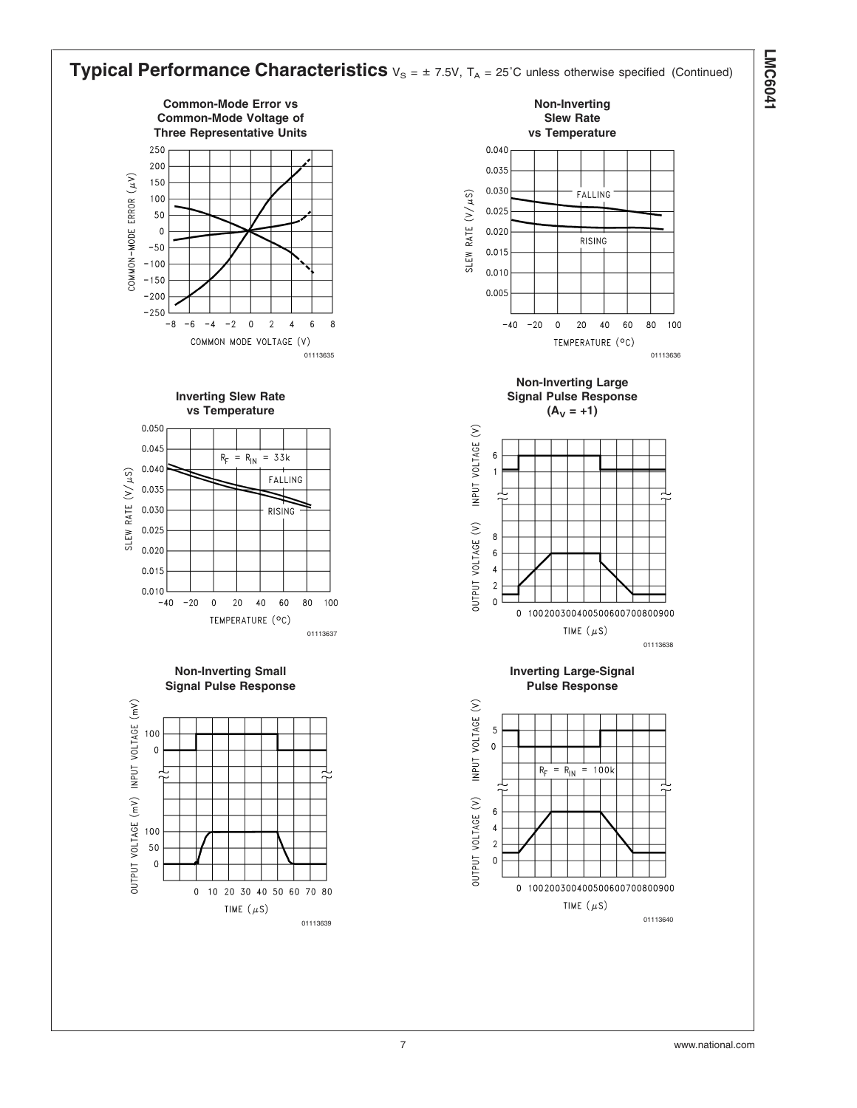

**LMC6041 LMC6041**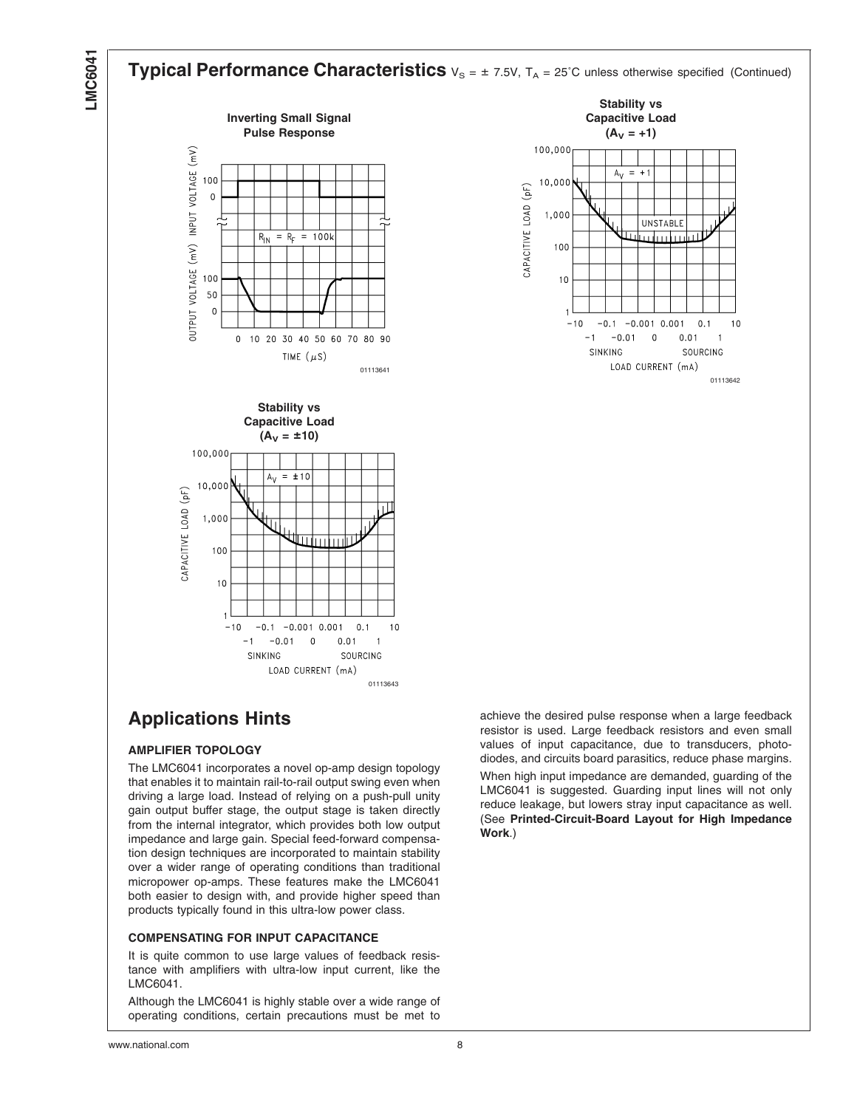# LMC604<sup>-</sup>





10,000 CAPACITIVE LOAD (pF) 1,000 100  $10$  $-10$  $-0.1 -0.001 0.001$  $0.1$  $1<sub>0</sub>$  $-0.01$  0  $0.01$  $-1$  $\overline{1}$ SINKING SOURCING LOAD CURRENT (mA) 01113643

# **Applications Hints**

## **AMPLIFIER TOPOLOGY**

The LMC6041 incorporates a novel op-amp design topology that enables it to maintain rail-to-rail output swing even when driving a large load. Instead of relying on a push-pull unity gain output buffer stage, the output stage is taken directly from the internal integrator, which provides both low output impedance and large gain. Special feed-forward compensation design techniques are incorporated to maintain stability over a wider range of operating conditions than traditional micropower op-amps. These features make the LMC6041 both easier to design with, and provide higher speed than products typically found in this ultra-low power class.

## **COMPENSATING FOR INPUT CAPACITANCE**

It is quite common to use large values of feedback resistance with amplifiers with ultra-low input current, like the LMC6041.

Although the LMC6041 is highly stable over a wide range of operating conditions, certain precautions must be met to achieve the desired pulse response when a large feedback resistor is used. Large feedback resistors and even small values of input capacitance, due to transducers, photodiodes, and circuits board parasitics, reduce phase margins.

When high input impedance are demanded, guarding of the LMC6041 is suggested. Guarding input lines will not only reduce leakage, but lowers stray input capacitance as well. (See **Printed-Circuit-Board Layout for High Impedance Work**.)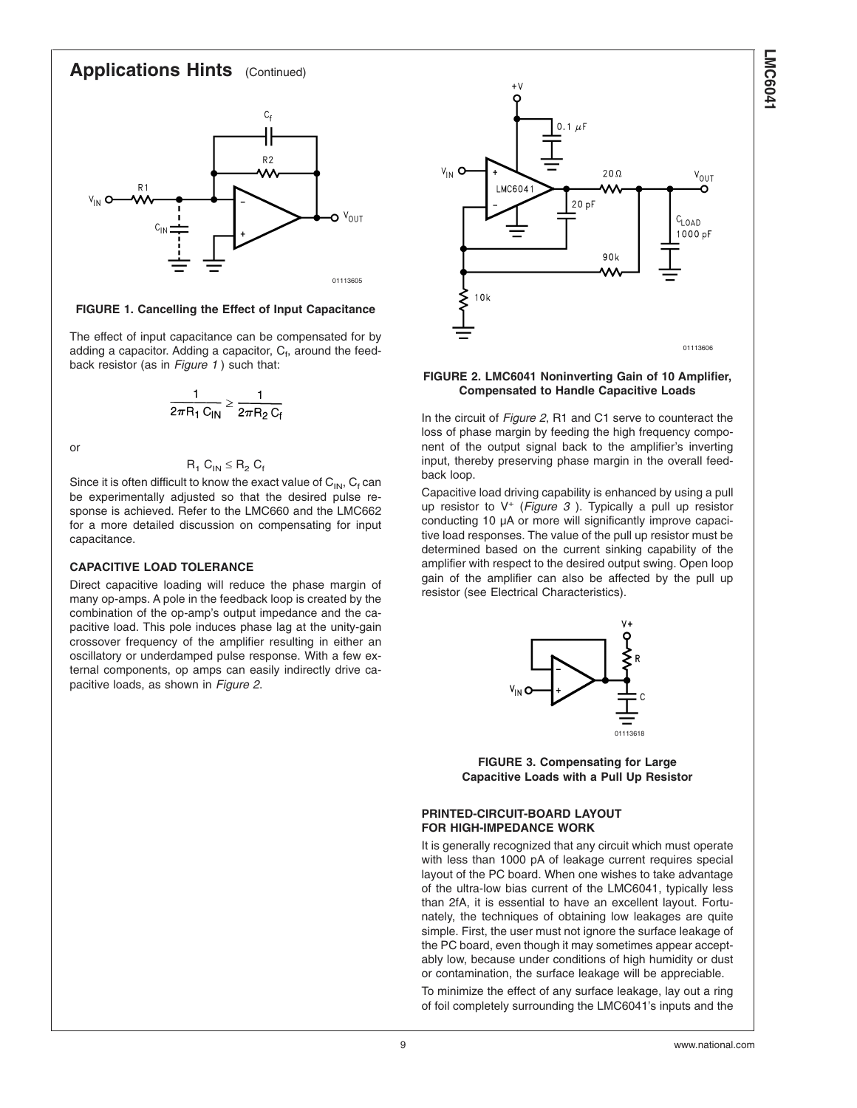## **Applications Hints** (Continued)



#### **FIGURE 1. Cancelling the Effect of Input Capacitance**

The effect of input capacitance can be compensated for by adding a capacitor. Adding a capacitor,  $C_f$ , around the feedback resistor (as in *Figure 1* ) such that:

$$
\frac{1}{2\pi R_1 C_{IN}} \ge \frac{1}{2\pi R_2 C_f}
$$

or

$$
R_1 C_{IN} \leq R_2 C_f
$$

Since it is often difficult to know the exact value of  $C_{IN}$ ,  $C_f$  can be experimentally adjusted so that the desired pulse response is achieved. Refer to the LMC660 and the LMC662 for a more detailed discussion on compensating for input capacitance.

#### **CAPACITIVE LOAD TOLERANCE**

Direct capacitive loading will reduce the phase margin of many op-amps. A pole in the feedback loop is created by the combination of the op-amp's output impedance and the capacitive load. This pole induces phase lag at the unity-gain crossover frequency of the amplifier resulting in either an oscillatory or underdamped pulse response. With a few external components, op amps can easily indirectly drive capacitive loads, as shown in *Figure 2*.



#### **FIGURE 2. LMC6041 Noninverting Gain of 10 Amplifier, Compensated to Handle Capacitive Loads**

In the circuit of *Figure 2*, R1 and C1 serve to counteract the loss of phase margin by feeding the high frequency component of the output signal back to the amplifier's inverting input, thereby preserving phase margin in the overall feedback loop.

Capacitive load driving capability is enhanced by using a pull up resistor to V<sup>+</sup> (*Figure 3* ). Typically a pull up resistor conducting 10 µA or more will significantly improve capacitive load responses. The value of the pull up resistor must be determined based on the current sinking capability of the amplifier with respect to the desired output swing. Open loop gain of the amplifier can also be affected by the pull up resistor (see Electrical Characteristics).



**FIGURE 3. Compensating for Large Capacitive Loads with a Pull Up Resistor**

#### **PRINTED-CIRCUIT-BOARD LAYOUT FOR HIGH-IMPEDANCE WORK**

It is generally recognized that any circuit which must operate with less than 1000 pA of leakage current requires special layout of the PC board. When one wishes to take advantage of the ultra-low bias current of the LMC6041, typically less than 2fA, it is essential to have an excellent layout. Fortunately, the techniques of obtaining low leakages are quite simple. First, the user must not ignore the surface leakage of the PC board, even though it may sometimes appear acceptably low, because under conditions of high humidity or dust or contamination, the surface leakage will be appreciable.

To minimize the effect of any surface leakage, lay out a ring of foil completely surrounding the LMC6041's inputs and the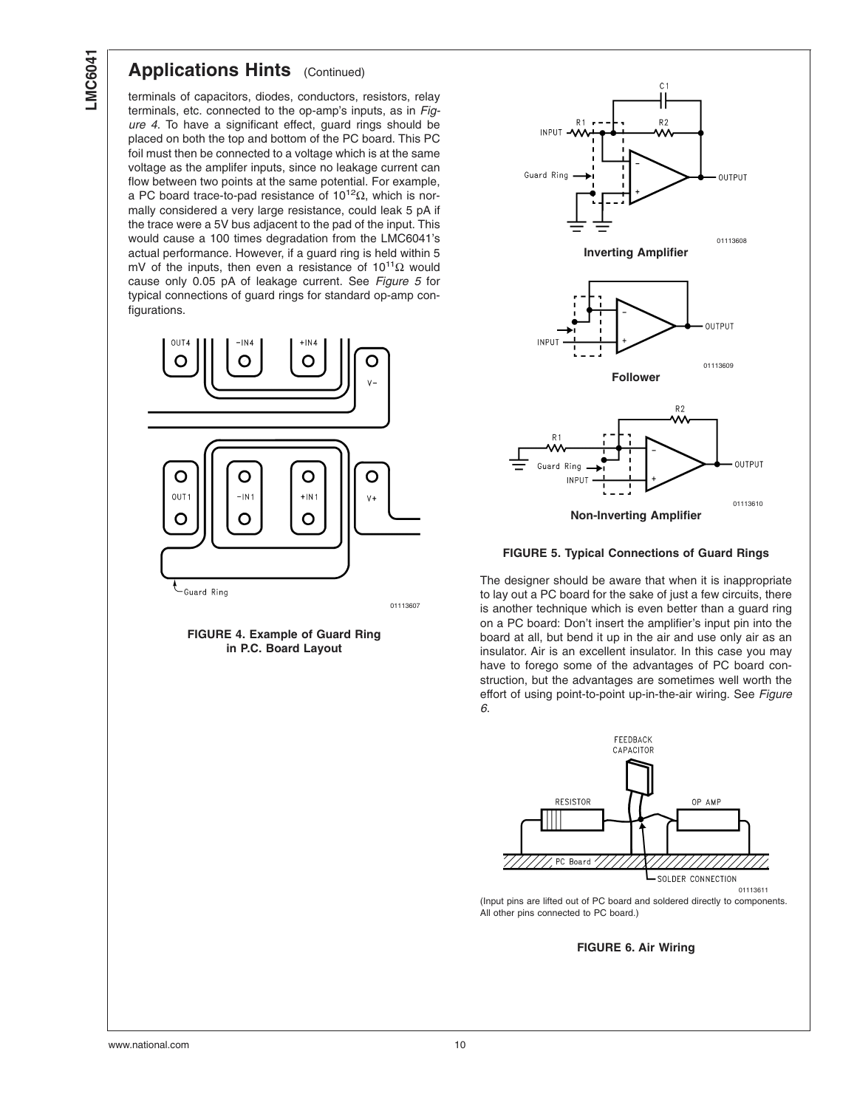## **Applications Hints** (Continued)

terminals of capacitors, diodes, conductors, resistors, relay terminals, etc. connected to the op-amp's inputs, as in *Figure 4*. To have a significant effect, guard rings should be placed on both the top and bottom of the PC board. This PC foil must then be connected to a voltage which is at the same voltage as the amplifer inputs, since no leakage current can flow between two points at the same potential. For example, a PC board trace-to-pad resistance of  $10^{12}Ω$ , which is normally considered a very large resistance, could leak 5 pA if the trace were a 5V bus adjacent to the pad of the input. This would cause a 100 times degradation from the LMC6041's actual performance. However, if a guard ring is held within 5 mV of the inputs, then even a resistance of  $10^{11}\Omega$  would cause only 0.05 pA of leakage current. See *Figure 5* for typical connections of guard rings for standard op-amp configurations.



**FIGURE 4. Example of Guard Ring in P.C. Board Layout**



#### **FIGURE 5. Typical Connections of Guard Rings**

The designer should be aware that when it is inappropriate to lay out a PC board for the sake of just a few circuits, there is another technique which is even better than a guard ring on a PC board: Don't insert the amplifier's input pin into the board at all, but bend it up in the air and use only air as an insulator. Air is an excellent insulator. In this case you may have to forego some of the advantages of PC board construction, but the advantages are sometimes well worth the effort of using point-to-point up-in-the-air wiring. See *Figure 6*.



<sup>(</sup>Input pins are lifted out of PC board and soldered directly to components. All other pins connected to PC board.)

#### **FIGURE 6. Air Wiring**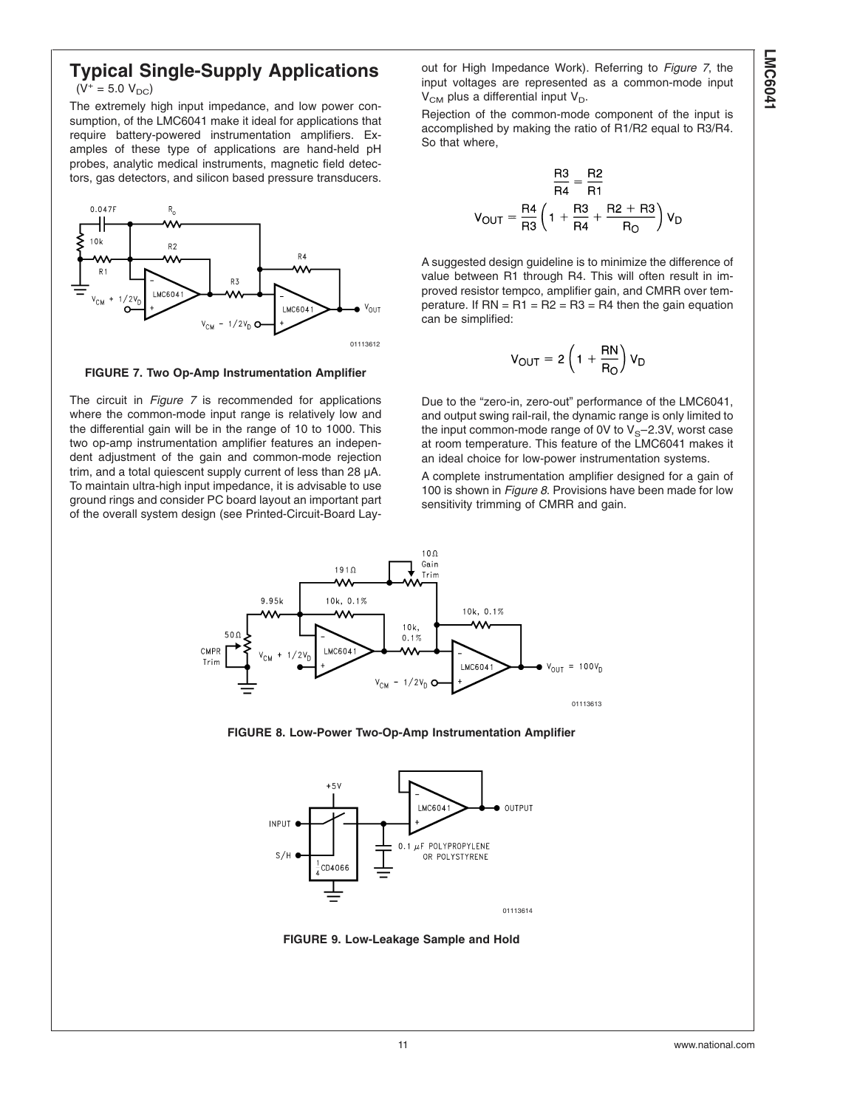## **Typical Single-Supply Applications**  $(V^+ = 5.0 V_{DC})$

The extremely high input impedance, and low power consumption, of the LMC6041 make it ideal for applications that require battery-powered instrumentation amplifiers. Examples of these type of applications are hand-held pH probes, analytic medical instruments, magnetic field detectors, gas detectors, and silicon based pressure transducers.



**FIGURE 7. Two Op-Amp Instrumentation Amplifier**

The circuit in *Figure 7* is recommended for applications where the common-mode input range is relatively low and the differential gain will be in the range of 10 to 1000. This two op-amp instrumentation amplifier features an independent adjustment of the gain and common-mode rejection trim, and a total quiescent supply current of less than 28 µA. To maintain ultra-high input impedance, it is advisable to use ground rings and consider PC board layout an important part of the overall system design (see Printed-Circuit-Board Layout for High Impedance Work). Referring to *Figure 7*, the input voltages are represented as a common-mode input  $V_{CM}$  plus a differential input  $V_{D}$ .

Rejection of the common-mode component of the input is accomplished by making the ratio of R1/R2 equal to R3/R4. So that where,

$$
\frac{R3}{R4} = \frac{R2}{R1}
$$
\n
$$
V_{OUT} = \frac{R4}{R3} \left( 1 + \frac{R3}{R4} + \frac{R2 + R3}{R0} \right) V_D
$$

A suggested design guideline is to minimize the difference of value between R1 through R4. This will often result in improved resistor tempco, amplifier gain, and CMRR over temperature. If  $RN = R1 = R2 = R3 = R4$  then the gain equation can be simplified:

$$
V_{OUT} = 2\left(1 + \frac{RN}{R_O}\right)V_D
$$

Due to the "zero-in, zero-out" performance of the LMC6041, and output swing rail-rail, the dynamic range is only limited to the input common-mode range of 0V to  $V_S$ –2.3V, worst case at room temperature. This feature of the LMC6041 makes it an ideal choice for low-power instrumentation systems.

A complete instrumentation amplifier designed for a gain of 100 is shown in *Figure 8*. Provisions have been made for low sensitivity trimming of CMRR and gain.



**FIGURE 8. Low-Power Two-Op-Amp Instrumentation Amplifier**



**FIGURE 9. Low-Leakage Sample and Hold**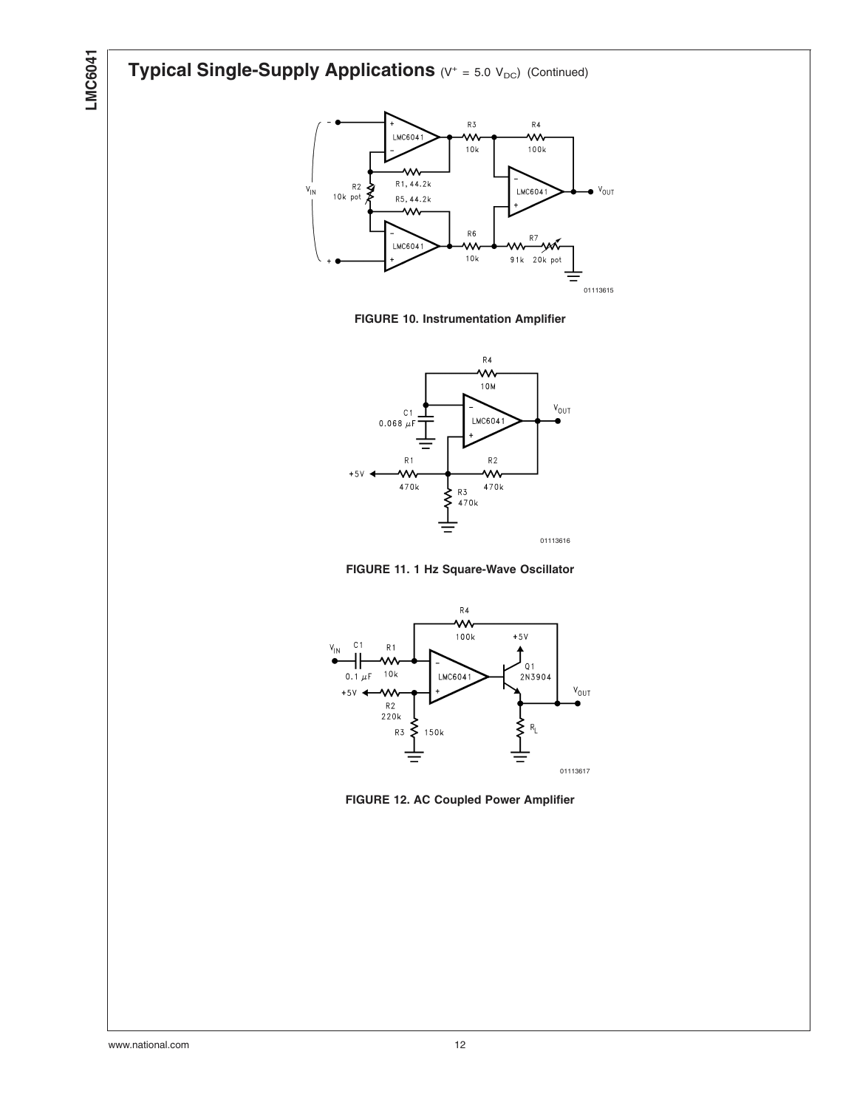# **Typical Single-Supply Applications** (V<sup>+</sup> = 5.0 V<sub>DC</sub>) (Continued)



**FIGURE 10. Instrumentation Amplifier**



**FIGURE 11. 1 Hz Square-Wave Oscillator**



**FIGURE 12. AC Coupled Power Amplifier**

**LMC6041**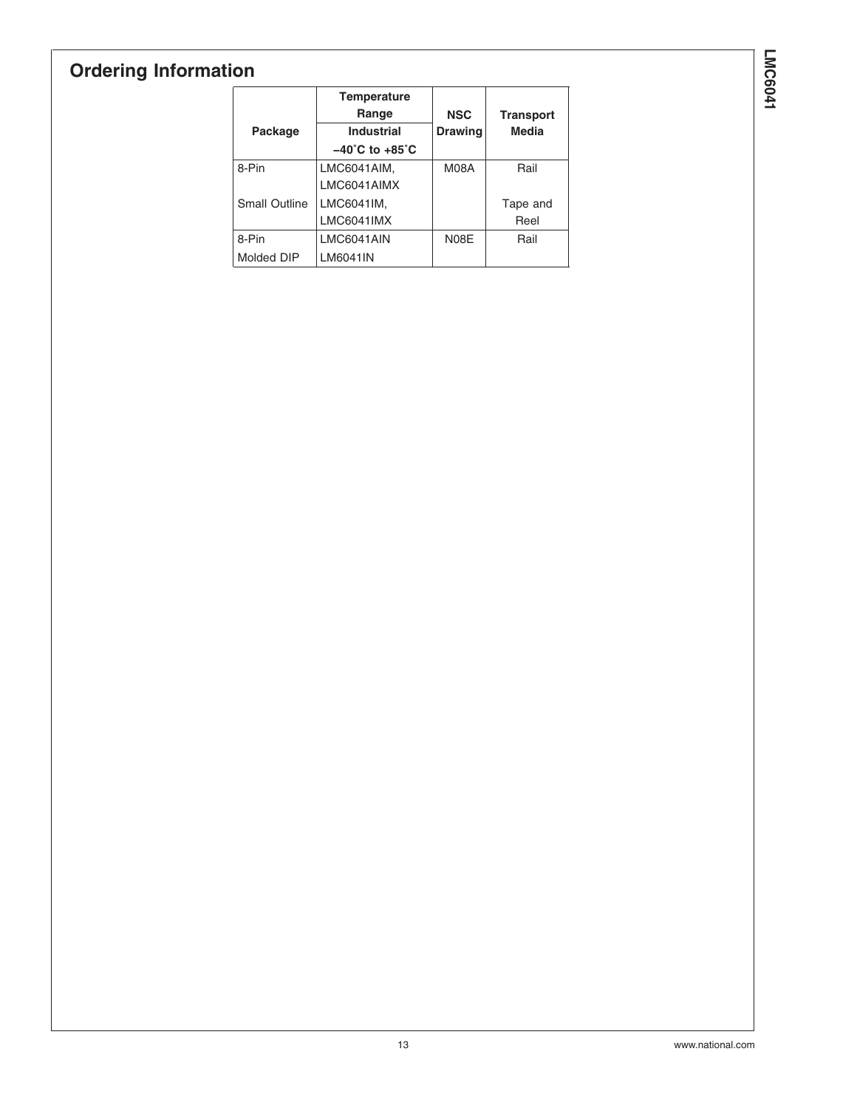# **Ordering Information**

|                      | <b>Temperature</b><br>Range        | <b>NSC</b>     | <b>Transport</b> |
|----------------------|------------------------------------|----------------|------------------|
| Package              | <b>Industrial</b>                  | <b>Drawing</b> | Media            |
|                      | $-40^{\circ}$ C to $+85^{\circ}$ C |                |                  |
| 8-Pin                | LMC6041AIM,                        | M08A           | Rail             |
|                      | LMC6041AIMX                        |                |                  |
| <b>Small Outline</b> | LMC6041IM,                         |                | Tape and         |
|                      | <b>LMC6041IMX</b>                  |                | Reel             |
| 8-Pin                | LMC6041AIN                         | N08E           | Rail             |
| Molded DIP           | LM6041IN                           |                |                  |

**LMC6041 LMC6041**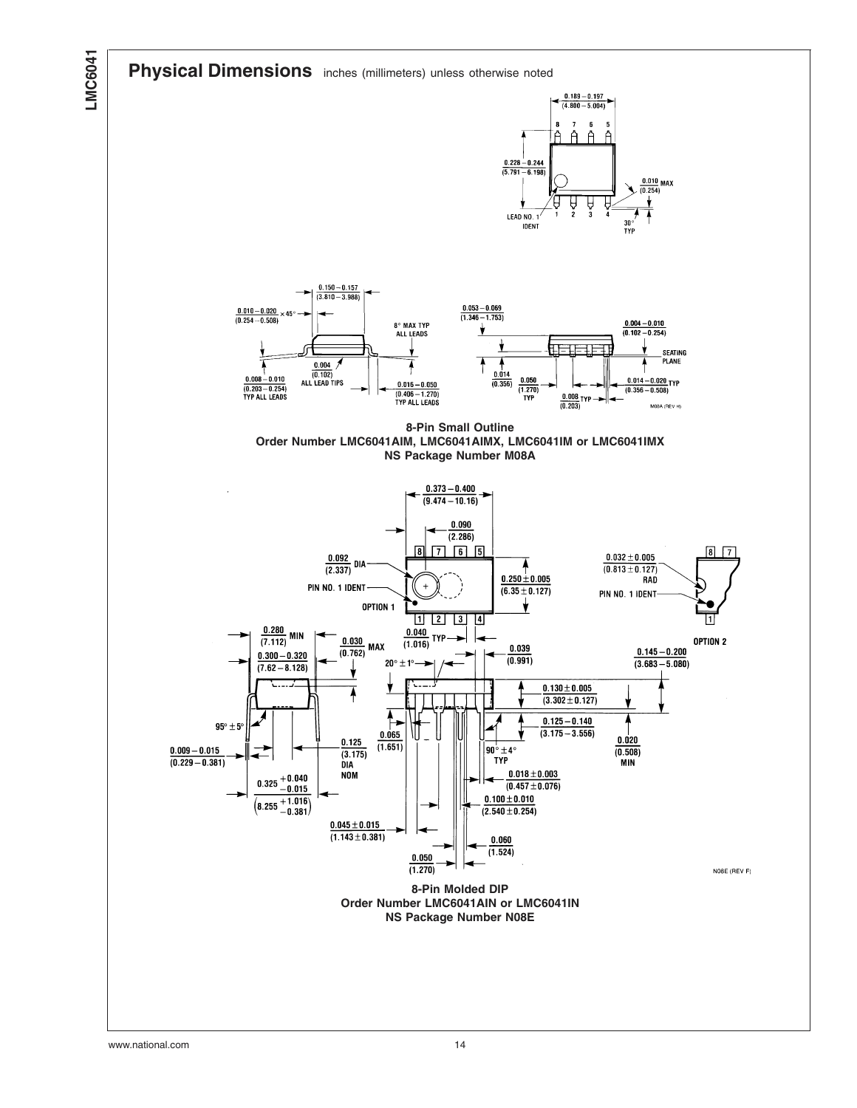